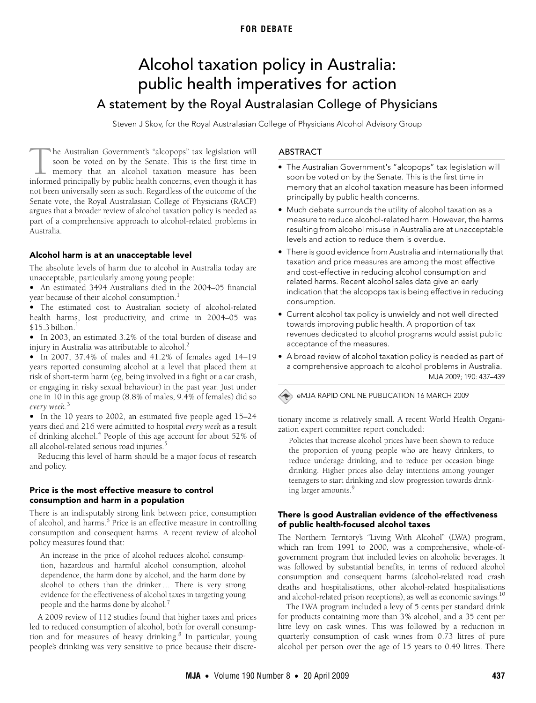# **FOR DEBATE**

# <span id="page-0-0"></span>Alcohol taxation policy in Australia: public health imperatives for action A statement by the Royal Australasian College of Physicians

Steven J Skov, for the Royal Australasian College of Physicians Alcohol Advisory Group

he Australian Government's "alcopops" tax legislation will soon be voted on by the Senate. This is the first time in memory that an alcohol taxation measure has been The Australian Government's "alcopops" tax legislation will soon be voted on by the Senate. This is the first time in memory that an alcohol taxation measure has been informed principally by public health concerns, even th not been universally seen as such. Regardless of the outcome of the Senate vote, the Royal Australasian College of Physicians (RACP) argues that a broader review of alcohol taxation policy is needed as part of a comprehensive approach to alcohol-related problems in Australia.

# Alcohol harm is at an unacceptable level

The absolute levels of harm due to alcohol in Australia today are unacceptable, particularly among young people:

epiasie, partieur<br>. ootimotod. 2404 • An estimated 3494 Australians died in the 2004–05 financial year because of their alcohol consumption.<sup>[1](#page-2-0)</sup>

• The estimated cost to Australian society of alcohol-related health harms, lost productivity, and crime in 2004–05 was  $$15.3$  $$15.3$  $$15.3$  billion.<sup>1</sup>

• In 2003, an estimated 3.2% of the total burden of disease and injury in Australia was attributable to alcohol.<sup>[2](#page-2-1)</sup>

• In 2007, 37.4% of males and 41.2% of females aged 14–19 years reported consuming alcohol at a level that placed them at risk of short-term harm (eg, being involved in a fight or a car crash, or engaging in risky sexual behaviour) in the past year. Just under one in 10 in this age group (8.8% of males, 9.4% of females) did so *every week*. [3](#page-2-2)

• In the 10 years to 2002, an estimated five people aged 15–24 years died and 216 were admitted to hospital *every week* as a result of drinking alcohol.<sup>[4](#page-2-3)</sup> People of this age account for about 52% of all alcohol-related serious road injuries.<sup>[5](#page-2-4)</sup>

Reducing this level of harm should be a major focus of research and policy.

#### Price is the most effective measure to control consumption and harm in a population

There is an indisputably strong link between price, consumption of alcohol, and harms.<sup>6</sup> Price is an effective measure in controlling consumption and consequent harms. A recent review of alcohol policy measures found that:

An increase in the price of alcohol reduces alcohol consumption, hazardous and harmful alcohol consumption, alcohol dependence, the harm done by alcohol, and the harm done by alcohol to others than the drinker … There is very strong evidence for the effectiveness of alcohol taxes in targeting young people and the harms done by alcohol.<sup>[7](#page-2-6)</sup>

A 2009 review of 112 studies found that higher taxes and prices led to reduced consumption of alcohol, both for overall consumption and for measures of heavy drinking.<sup>8</sup> In particular, young people's drinking was very sensitive to price because their discre-

#### ABSTRACT

- The Australian Government's "alcopops" tax legislation will soon be voted on by the Senate. This is the first time in memory that an alcohol taxation measure has been informed principally by public health concerns.
- Much debate surrounds the utility of alcohol taxation as a measure to reduce alcohol-related harm. However, the harms resulting from alcohol misuse in Australia are at unacceptable levels and action to reduce them is overdue.
- There is good evidence from Australia and internationally that taxation and price measures are among the most effective and cost-effective in reducing alcohol consumption and related harms. Recent alcohol sales data give an early indication that the alcopops tax is being effective in reducing consumption.
- Current alcohol tax policy is unwieldy and not well directed towards improving public health. A proportion of tax revenues dedicated to alcohol programs would assist public acceptance of the measures.
- A broad review of alcohol taxation policy is needed as part of MJA 2009; 190: 437–439 a comprehensive approach to alcohol problems in Australia.

# eMJA RAPID ONLINE PUBLICATION 16 MARCH 2009

tionary income is relatively small. A recent World Health Organization expert committee report concluded:

Policies that increase alcohol prices have been shown to reduce the proportion of young people who are heavy drinkers, to reduce underage drinking, and to reduce per occasion binge drinking. Higher prices also delay intentions among younger teenagers to start drinking and slow progression towards drinking larger amounts.[9](#page-2-8)

#### There is good Australian evidence of the effectiveness of public health-focused alcohol taxes

The Northern Territory's "Living With Alcohol" (LWA) program, which ran from 1991 to 2000, was a comprehensive, whole-ofgovernment program that included levies on alcoholic beverages. It was followed by substantial benefits, in terms of reduced alcohol consumption and consequent harms (alcohol-related road crash deaths and hospitalisations, other alcohol-related hospitalisations and alcohol-related prison receptions), as well as economic savings.<sup>10</sup>

The LWA program included a levy of 5 cents per standard drink for products containing more than 3% alcohol, and a 35 cent per litre levy on cask wines. This was followed by a reduction in quarterly consumption of cask wines from 0.73 litres of pure alcohol per person over the age of 15 years to 0.49 litres. There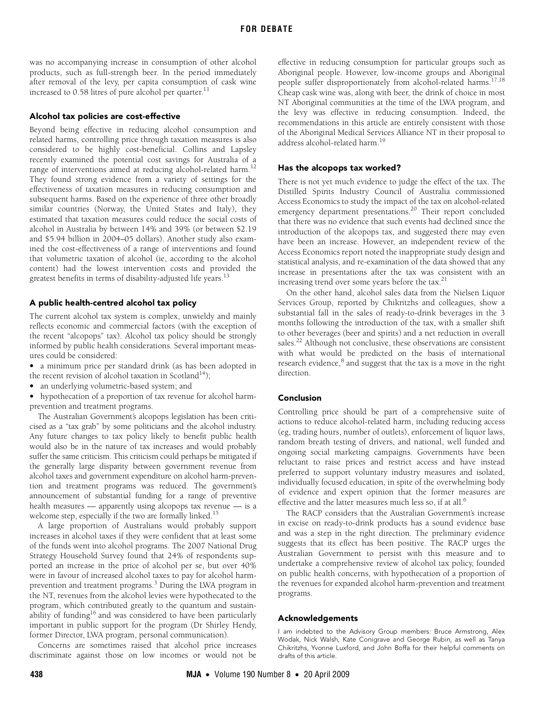was no accompanying increase in consumption of other alcohol products, such as full-strength beer. In the period immediately after removal of the levy, per capita consumption of cask wine increased to  $0.58$  litres of pure alcohol per quarter.<sup>[11](#page-2-11)</sup>

#### Alcohol tax policies are cost-effective

Beyond being effective in reducing alcohol consumption and related harms, controlling price through taxation measures is also considered to be highly cost-beneficial. Collins and Lapsley recently examined the potential cost savings for Australia of a range of interventions aimed at reducing alcohol-related harm.<sup>[12](#page-2-12)</sup> They found strong evidence from a variety of settings for the effectiveness of taxation measures in reducing consumption and subsequent harms. Based on the experience of three other broadly similar countries (Norway, the United States and Italy), they estimated that taxation measures could reduce the social costs of alcohol in Australia by between 14% and 39% (or between \$2.19 and \$5.94 billion in 2004–05 dollars). Another study also examined the cost-effectiveness of a range of interventions and found that volumetric taxation of alcohol (ie, according to the alcohol content) had the lowest intervention costs and provided the greatest benefits in terms of disability-adjusted life years.<sup>13</sup>

# A public health-centred alcohol tax policy

The current alcohol tax system is complex, unwieldy and mainly reflects economic and commercial factors (with the exception of the recent "alcopops" tax). Alcohol tax policy should be strongly informed by public health considerations. Several important measures could be considered:

- a minimum price per standard drink (as has been adopted in
- the recent revision of alcohol taxation in Scotland<sup>14</sup>);
- an underlying volumetric-based system; and
- hypothecation of a proportion of tax revenue for alcohol harmprevention and treatment programs.

The Australian Government's alcopops legislation has been criticised as a "tax grab" by some politicians and the alcohol industry. Any future changes to tax policy likely to benefit public health would also be in the nature of tax increases and would probably suffer the same criticism. This criticism could perhaps be mitigated if the generally large disparity between government revenue from alcohol taxes and government expenditure on alcohol harm-prevention and treatment programs was reduced. The government's announcement of substantial funding for a range of preventive health measures — apparently using alcopops tax revenue — is a welcome step, especially if the two are formally linked.<sup>15</sup>

A large proportion of Australians would probably support increases in alcohol taxes if they were confident that at least some of the funds went into alcohol programs. The 2007 National Drug Strategy Household Survey found that 24% of respondents supported an increase in the price of alcohol per se, but over 40% were in favour of increased alcohol taxes to pay for alcohol harmprevention and treatment programs.<sup>3</sup> During the LWA program in the NT, revenues from the alcohol levies were hypothecated to the program, which contributed greatly to the quantum and sustainability of funding<sup>16</sup> and was considered to have been particularly important in public support for the program (Dr Shirley Hendy, former Director, LWA program, personal communication).

Concerns are sometimes raised that alcohol price increases discriminate against those on low incomes or would not be

effective in reducing consumption for particular groups such as Aboriginal people. However, low-income groups and Aboriginal people suffer disproportionately from alcohol-related harms.<sup>[17](#page-2-17)[,18](#page-2-18)</sup> Cheap cask wine was, along with beer, the drink of choice in most NT Aboriginal communities at the time of the LWA program, and the levy was effective in reducing consumption. Indeed, the recommendations in this article are entirely consistent with those of the Aboriginal Medical Services Alliance NT in their proposal to address alcohol-related harm[.19](#page-2-19)

### Has the alcopops tax worked?

There is not yet much evidence to judge the effect of the tax. The Distilled Spirits Industry Council of Australia commissioned Access Economics to study the impact of the tax on alcohol-related emergency department presentations.<sup>20</sup> Their report concluded that there was no evidence that such events had declined since the introduction of the alcopops tax, and suggested there may even have been an increase. However, an independent review of the Access Economics report noted the inappropriate study design and statistical analysis, and re-examination of the data showed that any increase in presentations after the tax was consistent with an increasing trend over some years before the tax. $21$ 

On the other hand, alcohol sales data from the Nielsen Liquor Services Group, reported by Chikritzhs and colleagues, show a substantial fall in the sales of ready-to-drink beverages in the 3 months following the introduction of the tax, with a smaller shift to other beverages (beer and spirits) and a net reduction in overall sales.<sup>22</sup> Although not conclusive, these observations are consistent with what would be predicted on the basis of international research evidence, $^8$  $^8$  and suggest that the tax is a move in the right direction.

#### Conclusion

Controlling price should be part of a comprehensive suite of actions to reduce alcohol-related harm, including reducing access (eg, trading hours, number of outlets), enforcement of liquor laws, random breath testing of drivers, and national, well funded and ongoing social marketing campaigns. Governments have been reluctant to raise prices and restrict access and have instead preferred to support voluntary industry measures and isolated, individually focused education, in spite of the overwhelming body of evidence and expert opinion that the former measures are effective and the latter measures much less so, if at all. $<sup>6</sup>$  $<sup>6</sup>$  $<sup>6</sup>$ </sup>

The RACP considers that the Australian Government's increase in excise on ready-to-drink products has a sound evidence base and was a step in the right direction. The preliminary evidence suggests that its effect has been positive. The RACP urges the Australian Government to persist with this measure and to undertake a comprehensive review of alcohol tax policy, founded on public health concerns, with hypothecation of a proportion of the revenues for expanded alcohol harm-prevention and treatment programs.

#### Acknowledgements

I am indebted to the Advisory Group members: Bruce Armstrong, Alex Wodak, Nick Walsh, Kate Conigrave and George Rubin, as well as Tanya Chikritzhs, Yvonne Luxford, and John Boffa for their helpful comments on drafts of this article.